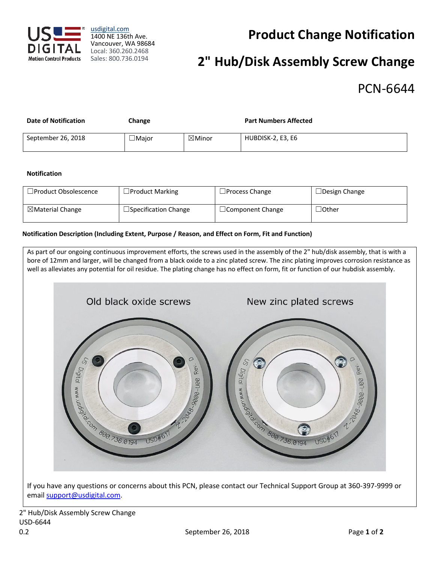

usdigital.com 1400 NE 136th Ave. Vancouver, WA 98684 Local: 360.260.2468 Sales: 800.736.0194

## **Product Change Notification**

# **2" Hub/Disk Assembly Screw Change**

### PCN-6644

| <b>Date of Notification</b> | Change       |                   | <b>Part Numbers Affected</b> |
|-----------------------------|--------------|-------------------|------------------------------|
| September 26, 2018          | $\Box$ Major | $\boxtimes$ Minor | HUBDISK-2, E3, E6            |

#### **Notification**

| $\Box$ Product Obsolescence | $\Box$ Product Marking      | $\Box$ Process Change   | $\Box$ Design Change |
|-----------------------------|-----------------------------|-------------------------|----------------------|
| $\boxtimes$ Material Change | $\Box$ Specification Change | $\Box$ Component Change | $\lrcorner$ Other    |

#### **Notification Description (Including Extent, Purpose / Reason, and Effect on Form, Fit and Function)**

As part of our ongoing continuous improvement efforts, the screws used in the assembly of the 2" hub/disk assembly, that is with a bore of 12mm and larger, will be changed from a black oxide to a zinc plated screw. The zinc plating improves corrosion resistance as well as alleviates any potential for oil residue. The plating change has no effect on form, fit or function of our hubdisk assembly. Old black oxide screws New zinc plated screws **SECRETARY SUBJECTS 6.0194**  $\mathcal{S}$  $\mathcal{S}$ O *Digital* Rev Rey 2798-3920-USB 23 SORO-000 R THE REAL PROPERTY OF CONTROL OF CALIFORNIA USD#617 USD#617 If you have any questions or concerns about this PCN, please contact our Technical Support Group at 360-397-9999 or email support@usdigital.com.

2" Hub/Disk Assembly Screw Change USD-6644